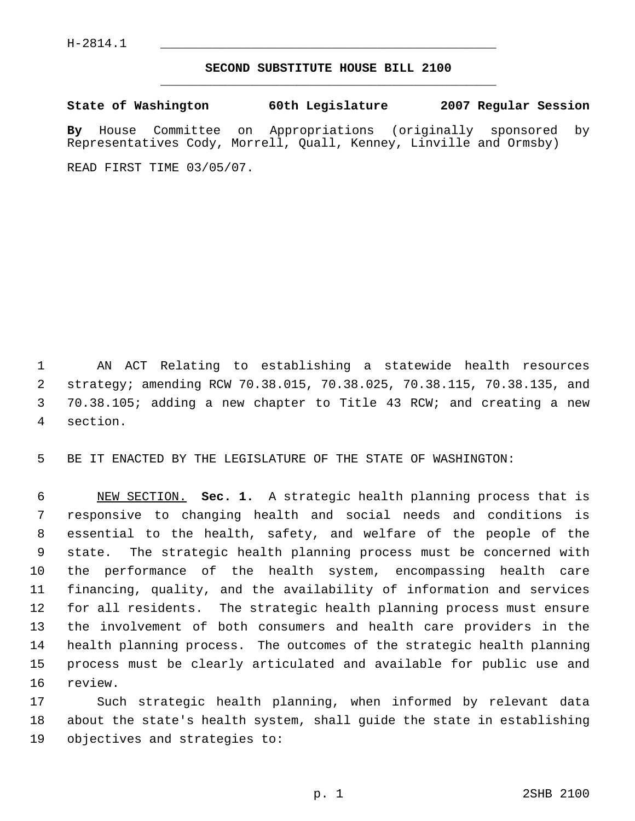## **SECOND SUBSTITUTE HOUSE BILL 2100** \_\_\_\_\_\_\_\_\_\_\_\_\_\_\_\_\_\_\_\_\_\_\_\_\_\_\_\_\_\_\_\_\_\_\_\_\_\_\_\_\_\_\_\_\_

**State of Washington 60th Legislature 2007 Regular Session**

**By** House Committee on Appropriations (originally sponsored by Representatives Cody, Morrell, Quall, Kenney, Linville and Ormsby)

READ FIRST TIME 03/05/07.

 AN ACT Relating to establishing a statewide health resources strategy; amending RCW 70.38.015, 70.38.025, 70.38.115, 70.38.135, and 70.38.105; adding a new chapter to Title 43 RCW; and creating a new section.

BE IT ENACTED BY THE LEGISLATURE OF THE STATE OF WASHINGTON:

 NEW SECTION. **Sec. 1.** A strategic health planning process that is responsive to changing health and social needs and conditions is essential to the health, safety, and welfare of the people of the state. The strategic health planning process must be concerned with the performance of the health system, encompassing health care financing, quality, and the availability of information and services for all residents. The strategic health planning process must ensure the involvement of both consumers and health care providers in the health planning process. The outcomes of the strategic health planning process must be clearly articulated and available for public use and review.

 Such strategic health planning, when informed by relevant data about the state's health system, shall guide the state in establishing objectives and strategies to: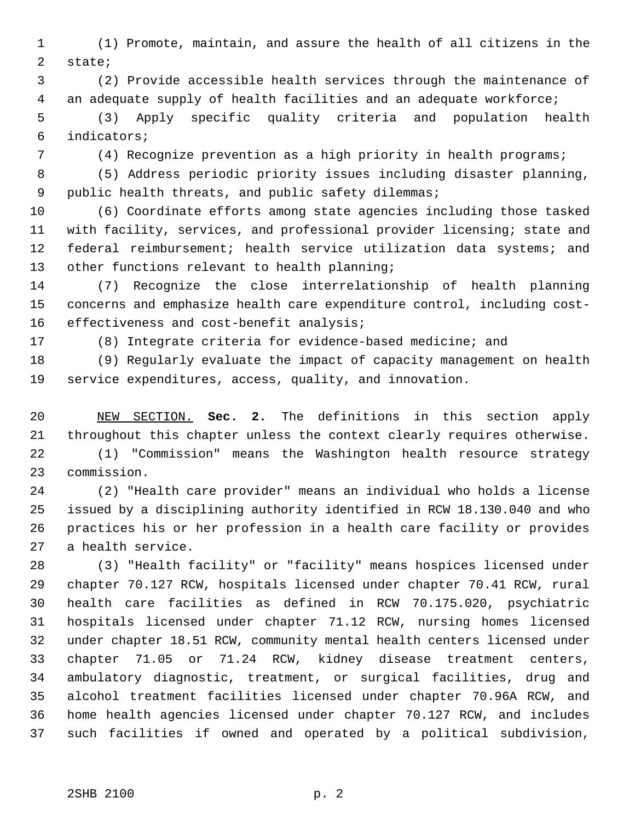(1) Promote, maintain, and assure the health of all citizens in the state;

 (2) Provide accessible health services through the maintenance of an adequate supply of health facilities and an adequate workforce;

 (3) Apply specific quality criteria and population health indicators;

(4) Recognize prevention as a high priority in health programs;

 (5) Address periodic priority issues including disaster planning, public health threats, and public safety dilemmas;

 (6) Coordinate efforts among state agencies including those tasked with facility, services, and professional provider licensing; state and federal reimbursement; health service utilization data systems; and other functions relevant to health planning;

 (7) Recognize the close interrelationship of health planning concerns and emphasize health care expenditure control, including cost-16 effectiveness and cost-benefit analysis;

(8) Integrate criteria for evidence-based medicine; and

 (9) Regularly evaluate the impact of capacity management on health service expenditures, access, quality, and innovation.

 NEW SECTION. **Sec. 2.** The definitions in this section apply throughout this chapter unless the context clearly requires otherwise.

 (1) "Commission" means the Washington health resource strategy commission.

 (2) "Health care provider" means an individual who holds a license issued by a disciplining authority identified in RCW 18.130.040 and who practices his or her profession in a health care facility or provides a health service.

 (3) "Health facility" or "facility" means hospices licensed under chapter 70.127 RCW, hospitals licensed under chapter 70.41 RCW, rural health care facilities as defined in RCW 70.175.020, psychiatric hospitals licensed under chapter 71.12 RCW, nursing homes licensed under chapter 18.51 RCW, community mental health centers licensed under chapter 71.05 or 71.24 RCW, kidney disease treatment centers, ambulatory diagnostic, treatment, or surgical facilities, drug and alcohol treatment facilities licensed under chapter 70.96A RCW, and home health agencies licensed under chapter 70.127 RCW, and includes such facilities if owned and operated by a political subdivision,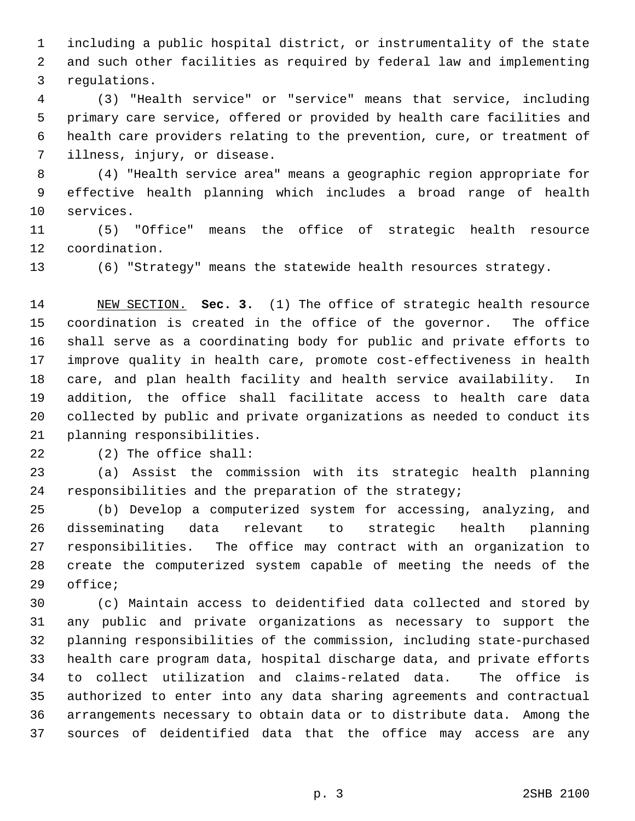including a public hospital district, or instrumentality of the state and such other facilities as required by federal law and implementing regulations.

 (3) "Health service" or "service" means that service, including primary care service, offered or provided by health care facilities and health care providers relating to the prevention, cure, or treatment of illness, injury, or disease.

 (4) "Health service area" means a geographic region appropriate for effective health planning which includes a broad range of health services.

 (5) "Office" means the office of strategic health resource coordination.

(6) "Strategy" means the statewide health resources strategy.

 NEW SECTION. **Sec. 3.** (1) The office of strategic health resource coordination is created in the office of the governor. The office shall serve as a coordinating body for public and private efforts to improve quality in health care, promote cost-effectiveness in health care, and plan health facility and health service availability. In addition, the office shall facilitate access to health care data collected by public and private organizations as needed to conduct its planning responsibilities.

(2) The office shall:

 (a) Assist the commission with its strategic health planning responsibilities and the preparation of the strategy;

 (b) Develop a computerized system for accessing, analyzing, and disseminating data relevant to strategic health planning responsibilities. The office may contract with an organization to create the computerized system capable of meeting the needs of the office;

 (c) Maintain access to deidentified data collected and stored by any public and private organizations as necessary to support the planning responsibilities of the commission, including state-purchased health care program data, hospital discharge data, and private efforts to collect utilization and claims-related data. The office is authorized to enter into any data sharing agreements and contractual arrangements necessary to obtain data or to distribute data. Among the sources of deidentified data that the office may access are any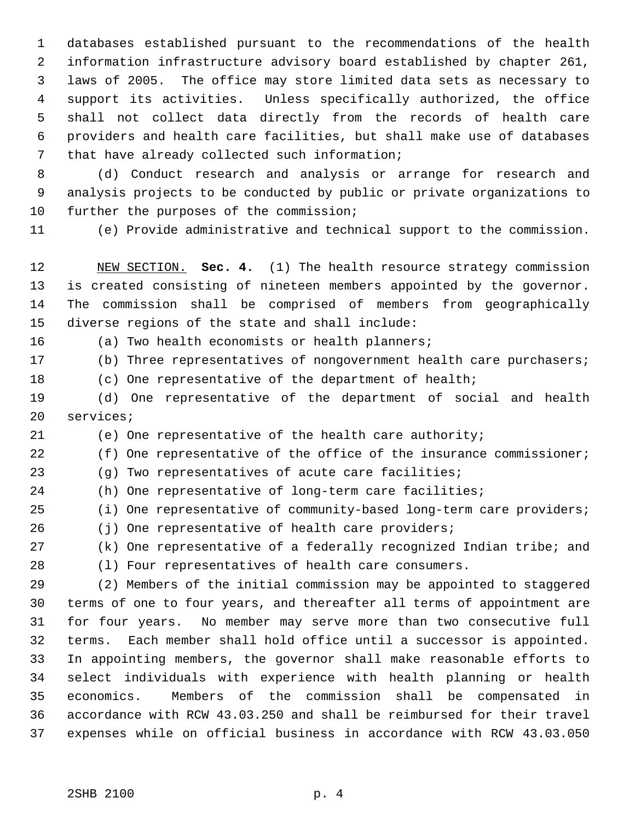databases established pursuant to the recommendations of the health information infrastructure advisory board established by chapter 261, laws of 2005. The office may store limited data sets as necessary to support its activities. Unless specifically authorized, the office shall not collect data directly from the records of health care providers and health care facilities, but shall make use of databases that have already collected such information;

 (d) Conduct research and analysis or arrange for research and analysis projects to be conducted by public or private organizations to 10 further the purposes of the commission;

(e) Provide administrative and technical support to the commission.

 NEW SECTION. **Sec. 4.** (1) The health resource strategy commission is created consisting of nineteen members appointed by the governor. The commission shall be comprised of members from geographically diverse regions of the state and shall include:

(a) Two health economists or health planners;

(b) Three representatives of nongovernment health care purchasers;

(c) One representative of the department of health;

 (d) One representative of the department of social and health services;

(e) One representative of the health care authority;

22 (f) One representative of the office of the insurance commissioner;

(g) Two representatives of acute care facilities;

(h) One representative of long-term care facilities;

(i) One representative of community-based long-term care providers;

(j) One representative of health care providers;

## (k) One representative of a federally recognized Indian tribe; and

(l) Four representatives of health care consumers.

 (2) Members of the initial commission may be appointed to staggered terms of one to four years, and thereafter all terms of appointment are for four years. No member may serve more than two consecutive full terms. Each member shall hold office until a successor is appointed. In appointing members, the governor shall make reasonable efforts to select individuals with experience with health planning or health economics. Members of the commission shall be compensated in accordance with RCW 43.03.250 and shall be reimbursed for their travel expenses while on official business in accordance with RCW 43.03.050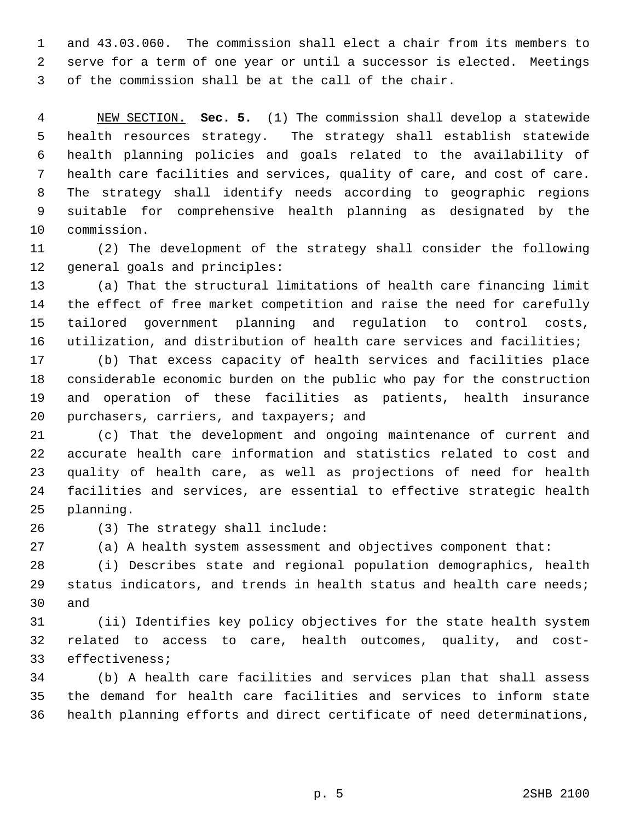and 43.03.060. The commission shall elect a chair from its members to serve for a term of one year or until a successor is elected. Meetings of the commission shall be at the call of the chair.

 NEW SECTION. **Sec. 5.** (1) The commission shall develop a statewide health resources strategy. The strategy shall establish statewide health planning policies and goals related to the availability of health care facilities and services, quality of care, and cost of care. The strategy shall identify needs according to geographic regions suitable for comprehensive health planning as designated by the commission.

 (2) The development of the strategy shall consider the following general goals and principles:

 (a) That the structural limitations of health care financing limit the effect of free market competition and raise the need for carefully tailored government planning and regulation to control costs, utilization, and distribution of health care services and facilities;

 (b) That excess capacity of health services and facilities place considerable economic burden on the public who pay for the construction and operation of these facilities as patients, health insurance purchasers, carriers, and taxpayers; and

 (c) That the development and ongoing maintenance of current and accurate health care information and statistics related to cost and quality of health care, as well as projections of need for health facilities and services, are essential to effective strategic health planning.

(3) The strategy shall include:

(a) A health system assessment and objectives component that:

 (i) Describes state and regional population demographics, health status indicators, and trends in health status and health care needs; and

 (ii) Identifies key policy objectives for the state health system related to access to care, health outcomes, quality, and cost-effectiveness;

 (b) A health care facilities and services plan that shall assess the demand for health care facilities and services to inform state health planning efforts and direct certificate of need determinations,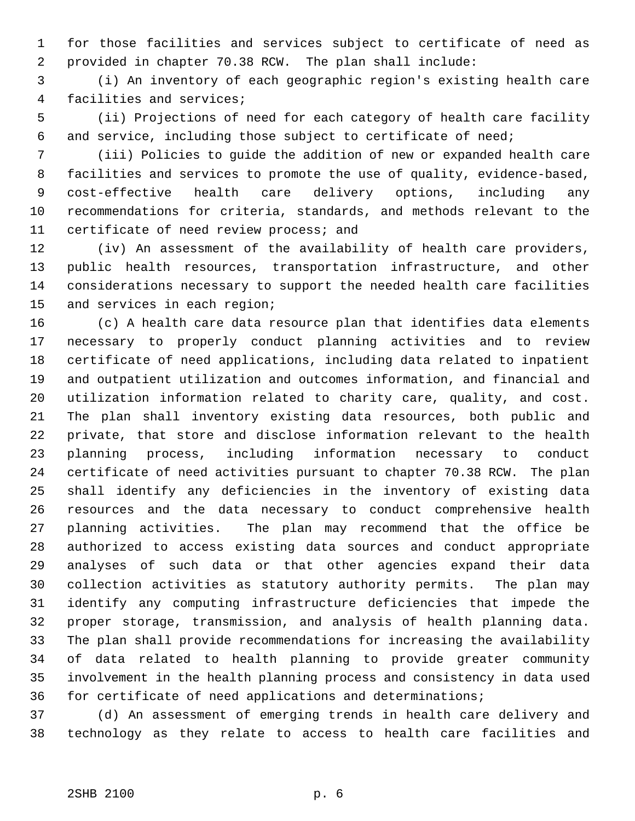for those facilities and services subject to certificate of need as provided in chapter 70.38 RCW. The plan shall include:

 (i) An inventory of each geographic region's existing health care facilities and services;

 (ii) Projections of need for each category of health care facility and service, including those subject to certificate of need;

 (iii) Policies to guide the addition of new or expanded health care facilities and services to promote the use of quality, evidence-based, cost-effective health care delivery options, including any recommendations for criteria, standards, and methods relevant to the certificate of need review process; and

 (iv) An assessment of the availability of health care providers, public health resources, transportation infrastructure, and other considerations necessary to support the needed health care facilities and services in each region;

 (c) A health care data resource plan that identifies data elements necessary to properly conduct planning activities and to review certificate of need applications, including data related to inpatient and outpatient utilization and outcomes information, and financial and utilization information related to charity care, quality, and cost. The plan shall inventory existing data resources, both public and private, that store and disclose information relevant to the health planning process, including information necessary to conduct certificate of need activities pursuant to chapter 70.38 RCW. The plan shall identify any deficiencies in the inventory of existing data resources and the data necessary to conduct comprehensive health planning activities. The plan may recommend that the office be authorized to access existing data sources and conduct appropriate analyses of such data or that other agencies expand their data collection activities as statutory authority permits. The plan may identify any computing infrastructure deficiencies that impede the proper storage, transmission, and analysis of health planning data. The plan shall provide recommendations for increasing the availability of data related to health planning to provide greater community involvement in the health planning process and consistency in data used for certificate of need applications and determinations;

 (d) An assessment of emerging trends in health care delivery and technology as they relate to access to health care facilities and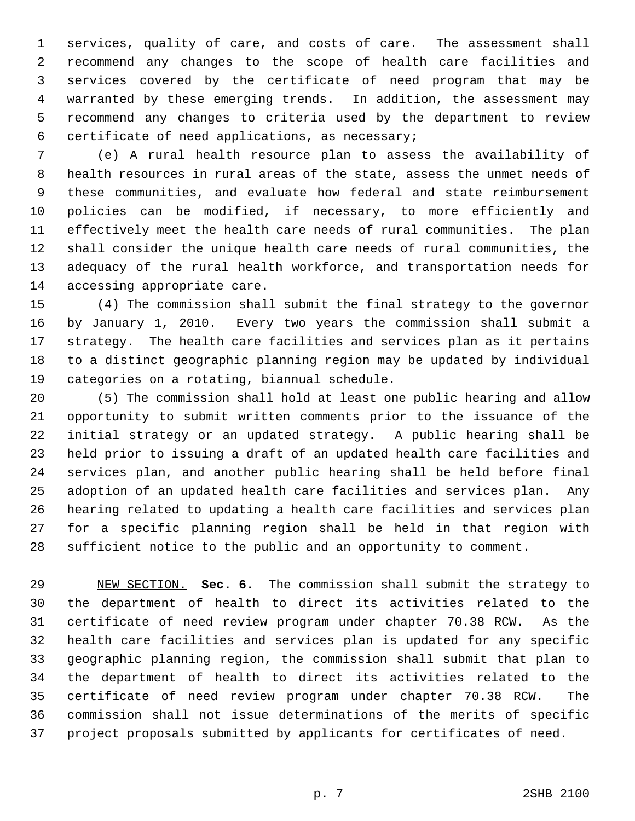services, quality of care, and costs of care. The assessment shall recommend any changes to the scope of health care facilities and services covered by the certificate of need program that may be warranted by these emerging trends. In addition, the assessment may recommend any changes to criteria used by the department to review certificate of need applications, as necessary;

 (e) A rural health resource plan to assess the availability of health resources in rural areas of the state, assess the unmet needs of these communities, and evaluate how federal and state reimbursement policies can be modified, if necessary, to more efficiently and effectively meet the health care needs of rural communities. The plan shall consider the unique health care needs of rural communities, the adequacy of the rural health workforce, and transportation needs for accessing appropriate care.

 (4) The commission shall submit the final strategy to the governor by January 1, 2010. Every two years the commission shall submit a strategy. The health care facilities and services plan as it pertains to a distinct geographic planning region may be updated by individual categories on a rotating, biannual schedule.

 (5) The commission shall hold at least one public hearing and allow opportunity to submit written comments prior to the issuance of the initial strategy or an updated strategy. A public hearing shall be held prior to issuing a draft of an updated health care facilities and services plan, and another public hearing shall be held before final adoption of an updated health care facilities and services plan. Any hearing related to updating a health care facilities and services plan for a specific planning region shall be held in that region with sufficient notice to the public and an opportunity to comment.

 NEW SECTION. **Sec. 6.** The commission shall submit the strategy to the department of health to direct its activities related to the certificate of need review program under chapter 70.38 RCW. As the health care facilities and services plan is updated for any specific geographic planning region, the commission shall submit that plan to the department of health to direct its activities related to the certificate of need review program under chapter 70.38 RCW. The commission shall not issue determinations of the merits of specific project proposals submitted by applicants for certificates of need.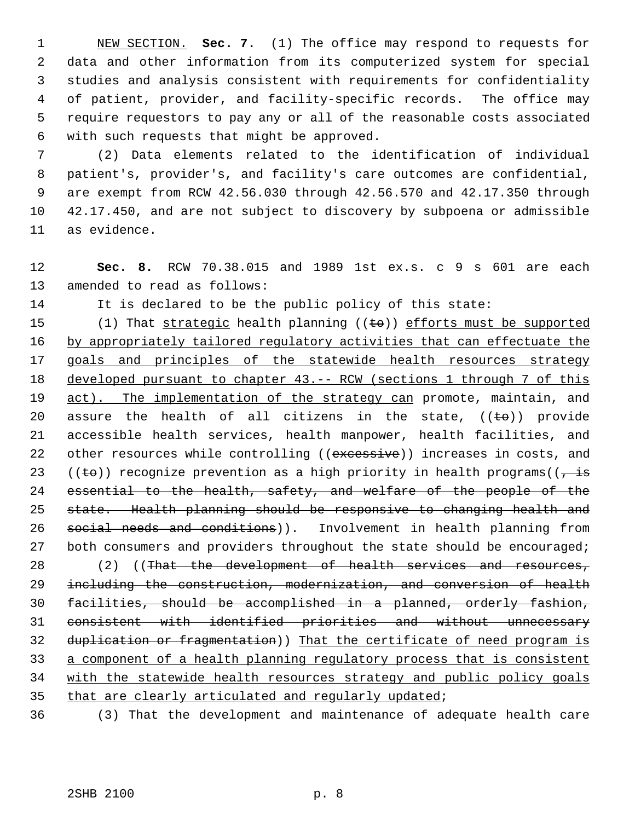NEW SECTION. **Sec. 7.** (1) The office may respond to requests for data and other information from its computerized system for special studies and analysis consistent with requirements for confidentiality of patient, provider, and facility-specific records. The office may require requestors to pay any or all of the reasonable costs associated with such requests that might be approved.

 (2) Data elements related to the identification of individual patient's, provider's, and facility's care outcomes are confidential, are exempt from RCW 42.56.030 through 42.56.570 and 42.17.350 through 42.17.450, and are not subject to discovery by subpoena or admissible as evidence.

 **Sec. 8.** RCW 70.38.015 and 1989 1st ex.s. c 9 s 601 are each amended to read as follows:

It is declared to be the public policy of this state:

15 (1) That strategic health planning  $((\text{te}))$  efforts must be supported 16 by appropriately tailored regulatory activities that can effectuate the 17 goals and principles of the statewide health resources strategy 18 developed pursuant to chapter 43. -- RCW (sections 1 through 7 of this 19 act). The implementation of the strategy can promote, maintain, and 20 assure the health of all citizens in the state,  $((\pm \theta))$  provide accessible health services, health manpower, health facilities, and 22 other resources while controlling ((excessive)) increases in costs, and 23 ((to)) recognize prevention as a high priority in health programs( $\overline{z}$  is essential to the health, safety, and welfare of the people of the state. Health planning should be responsive to changing health and 26 social needs and conditions)). Involvement in health planning from 27 both consumers and providers throughout the state should be encouraged; 28 (2) ((That the development of health services and resources, including the construction, modernization, and conversion of health facilities, should be accomplished in a planned, orderly fashion, consistent with identified priorities and without unnecessary 32 duplication or fragmentation)) That the certificate of need program is a component of a health planning regulatory process that is consistent with the statewide health resources strategy and public policy goals that are clearly articulated and regularly updated;

(3) That the development and maintenance of adequate health care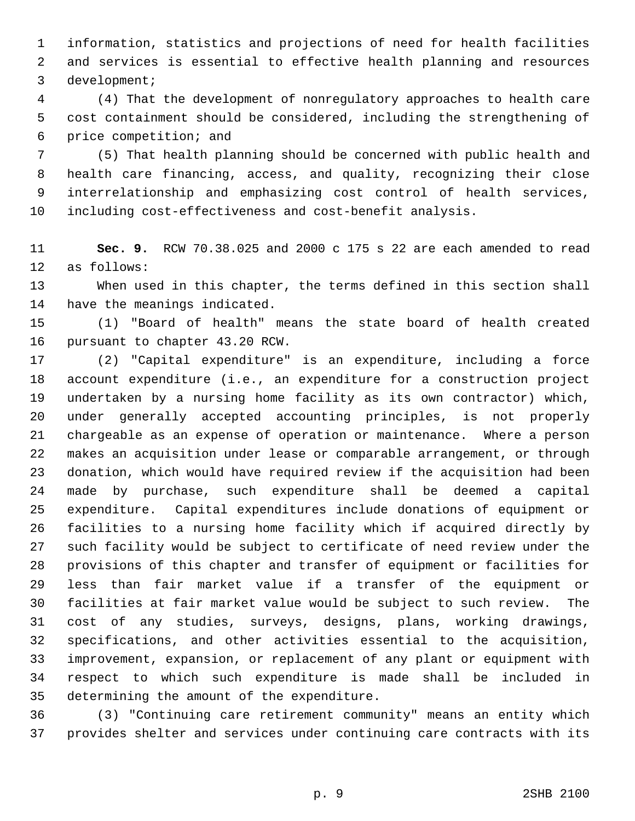information, statistics and projections of need for health facilities and services is essential to effective health planning and resources development;

 (4) That the development of nonregulatory approaches to health care cost containment should be considered, including the strengthening of price competition; and

 (5) That health planning should be concerned with public health and health care financing, access, and quality, recognizing their close interrelationship and emphasizing cost control of health services, including cost-effectiveness and cost-benefit analysis.

 **Sec. 9.** RCW 70.38.025 and 2000 c 175 s 22 are each amended to read as follows:

 When used in this chapter, the terms defined in this section shall have the meanings indicated.

 (1) "Board of health" means the state board of health created pursuant to chapter 43.20 RCW.

 (2) "Capital expenditure" is an expenditure, including a force account expenditure (i.e., an expenditure for a construction project undertaken by a nursing home facility as its own contractor) which, under generally accepted accounting principles, is not properly chargeable as an expense of operation or maintenance. Where a person makes an acquisition under lease or comparable arrangement, or through donation, which would have required review if the acquisition had been made by purchase, such expenditure shall be deemed a capital expenditure. Capital expenditures include donations of equipment or facilities to a nursing home facility which if acquired directly by such facility would be subject to certificate of need review under the provisions of this chapter and transfer of equipment or facilities for less than fair market value if a transfer of the equipment or facilities at fair market value would be subject to such review. The cost of any studies, surveys, designs, plans, working drawings, specifications, and other activities essential to the acquisition, improvement, expansion, or replacement of any plant or equipment with respect to which such expenditure is made shall be included in determining the amount of the expenditure.

 (3) "Continuing care retirement community" means an entity which provides shelter and services under continuing care contracts with its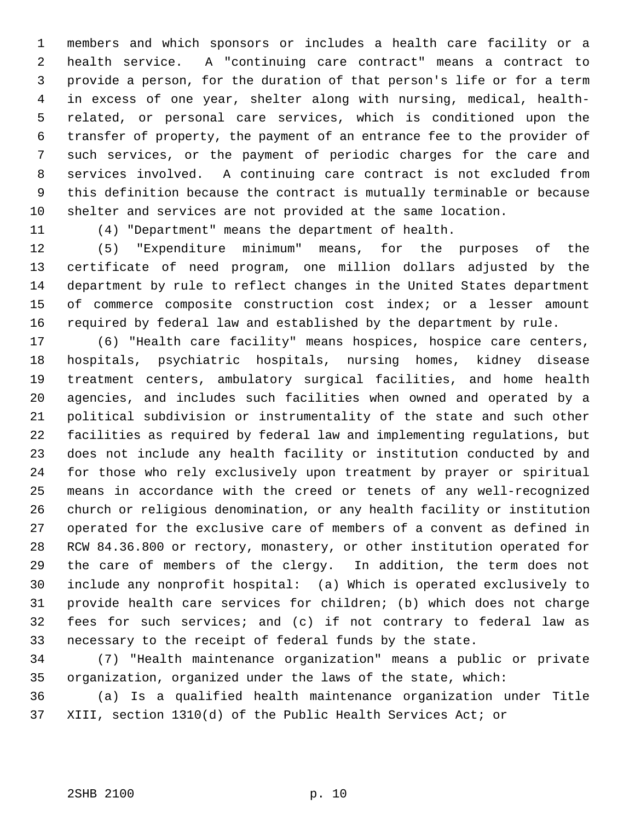members and which sponsors or includes a health care facility or a health service. A "continuing care contract" means a contract to provide a person, for the duration of that person's life or for a term in excess of one year, shelter along with nursing, medical, health- related, or personal care services, which is conditioned upon the transfer of property, the payment of an entrance fee to the provider of such services, or the payment of periodic charges for the care and services involved. A continuing care contract is not excluded from this definition because the contract is mutually terminable or because shelter and services are not provided at the same location.

(4) "Department" means the department of health.

 (5) "Expenditure minimum" means, for the purposes of the certificate of need program, one million dollars adjusted by the department by rule to reflect changes in the United States department of commerce composite construction cost index; or a lesser amount required by federal law and established by the department by rule.

 (6) "Health care facility" means hospices, hospice care centers, hospitals, psychiatric hospitals, nursing homes, kidney disease treatment centers, ambulatory surgical facilities, and home health agencies, and includes such facilities when owned and operated by a political subdivision or instrumentality of the state and such other facilities as required by federal law and implementing regulations, but does not include any health facility or institution conducted by and for those who rely exclusively upon treatment by prayer or spiritual means in accordance with the creed or tenets of any well-recognized church or religious denomination, or any health facility or institution operated for the exclusive care of members of a convent as defined in RCW 84.36.800 or rectory, monastery, or other institution operated for the care of members of the clergy. In addition, the term does not include any nonprofit hospital: (a) Which is operated exclusively to provide health care services for children; (b) which does not charge fees for such services; and (c) if not contrary to federal law as necessary to the receipt of federal funds by the state.

 (7) "Health maintenance organization" means a public or private organization, organized under the laws of the state, which:

 (a) Is a qualified health maintenance organization under Title XIII, section 1310(d) of the Public Health Services Act; or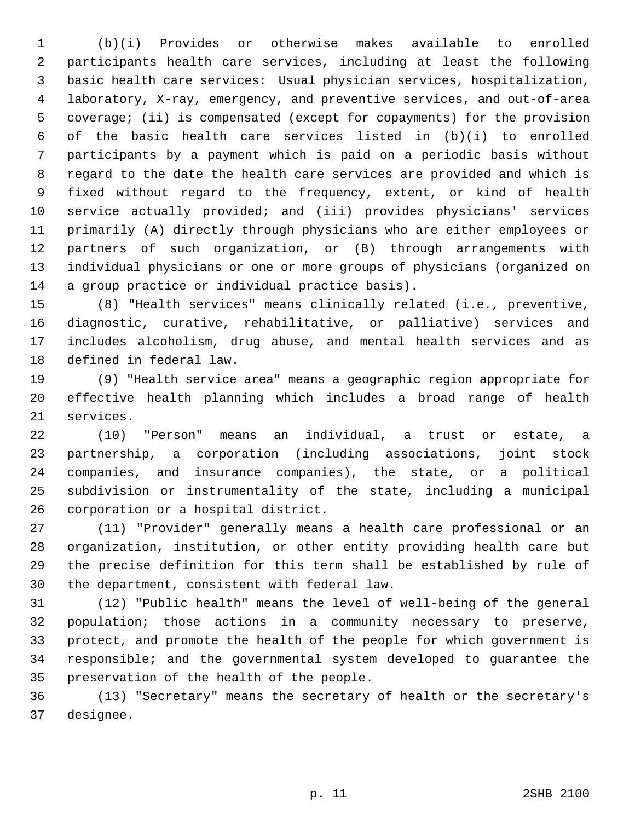(b)(i) Provides or otherwise makes available to enrolled participants health care services, including at least the following basic health care services: Usual physician services, hospitalization, laboratory, X-ray, emergency, and preventive services, and out-of-area coverage; (ii) is compensated (except for copayments) for the provision of the basic health care services listed in (b)(i) to enrolled participants by a payment which is paid on a periodic basis without regard to the date the health care services are provided and which is fixed without regard to the frequency, extent, or kind of health service actually provided; and (iii) provides physicians' services primarily (A) directly through physicians who are either employees or partners of such organization, or (B) through arrangements with individual physicians or one or more groups of physicians (organized on a group practice or individual practice basis).

 (8) "Health services" means clinically related (i.e., preventive, diagnostic, curative, rehabilitative, or palliative) services and includes alcoholism, drug abuse, and mental health services and as defined in federal law.

 (9) "Health service area" means a geographic region appropriate for effective health planning which includes a broad range of health services.

 (10) "Person" means an individual, a trust or estate, a partnership, a corporation (including associations, joint stock companies, and insurance companies), the state, or a political subdivision or instrumentality of the state, including a municipal corporation or a hospital district.

 (11) "Provider" generally means a health care professional or an organization, institution, or other entity providing health care but the precise definition for this term shall be established by rule of the department, consistent with federal law.

 (12) "Public health" means the level of well-being of the general population; those actions in a community necessary to preserve, protect, and promote the health of the people for which government is responsible; and the governmental system developed to guarantee the preservation of the health of the people.

 (13) "Secretary" means the secretary of health or the secretary's designee.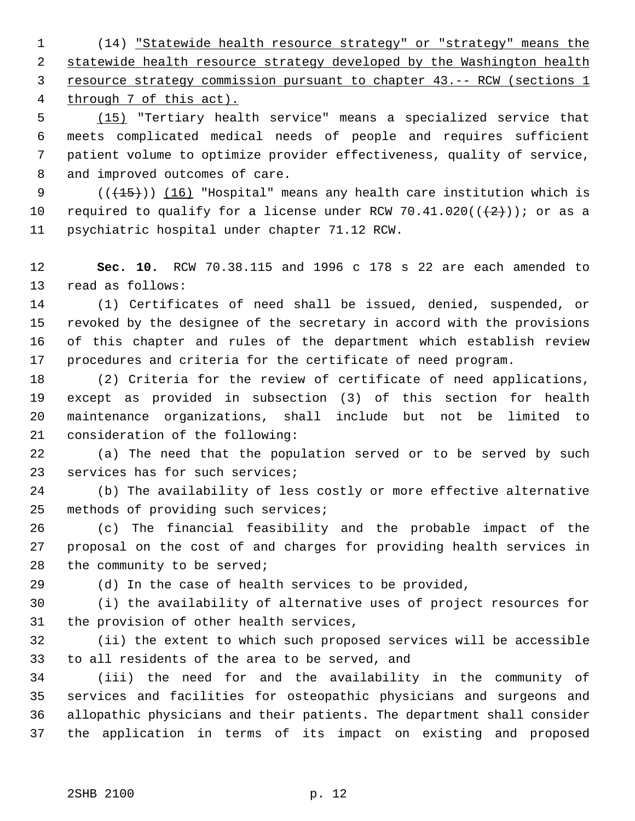(14) "Statewide health resource strategy" or "strategy" means the 2 statewide health resource strategy developed by the Washington health resource strategy commission pursuant to chapter 43.-- RCW (sections 1 through 7 of this act).

 (15) "Tertiary health service" means a specialized service that meets complicated medical needs of people and requires sufficient patient volume to optimize provider effectiveness, quality of service, and improved outcomes of care.

9 (( $\left(\frac{15}{15}\right)$ ) (16) "Hospital" means any health care institution which is 10 required to qualify for a license under RCW 70.41.020( $(\frac{2}{2})$ ); or as a psychiatric hospital under chapter 71.12 RCW.

 **Sec. 10.** RCW 70.38.115 and 1996 c 178 s 22 are each amended to read as follows:

 (1) Certificates of need shall be issued, denied, suspended, or revoked by the designee of the secretary in accord with the provisions of this chapter and rules of the department which establish review procedures and criteria for the certificate of need program.

 (2) Criteria for the review of certificate of need applications, except as provided in subsection (3) of this section for health maintenance organizations, shall include but not be limited to consideration of the following:

 (a) The need that the population served or to be served by such services has for such services;

 (b) The availability of less costly or more effective alternative methods of providing such services;

 (c) The financial feasibility and the probable impact of the proposal on the cost of and charges for providing health services in 28 the community to be served;

(d) In the case of health services to be provided,

 (i) the availability of alternative uses of project resources for the provision of other health services,

 (ii) the extent to which such proposed services will be accessible to all residents of the area to be served, and

 (iii) the need for and the availability in the community of services and facilities for osteopathic physicians and surgeons and allopathic physicians and their patients. The department shall consider the application in terms of its impact on existing and proposed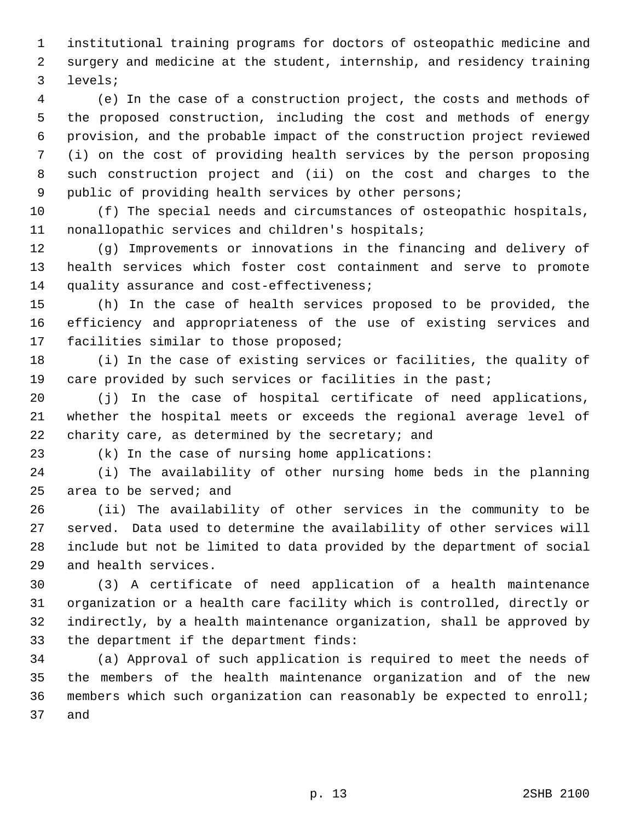institutional training programs for doctors of osteopathic medicine and surgery and medicine at the student, internship, and residency training levels;

 (e) In the case of a construction project, the costs and methods of the proposed construction, including the cost and methods of energy provision, and the probable impact of the construction project reviewed (i) on the cost of providing health services by the person proposing such construction project and (ii) on the cost and charges to the public of providing health services by other persons;

 (f) The special needs and circumstances of osteopathic hospitals, nonallopathic services and children's hospitals;

 (g) Improvements or innovations in the financing and delivery of health services which foster cost containment and serve to promote 14 quality assurance and cost-effectiveness;

 (h) In the case of health services proposed to be provided, the efficiency and appropriateness of the use of existing services and facilities similar to those proposed;

 (i) In the case of existing services or facilities, the quality of 19 care provided by such services or facilities in the past;

 (j) In the case of hospital certificate of need applications, whether the hospital meets or exceeds the regional average level of 22 charity care, as determined by the secretary; and

(k) In the case of nursing home applications:

 (i) The availability of other nursing home beds in the planning area to be served; and

 (ii) The availability of other services in the community to be served. Data used to determine the availability of other services will include but not be limited to data provided by the department of social and health services.

 (3) A certificate of need application of a health maintenance organization or a health care facility which is controlled, directly or indirectly, by a health maintenance organization, shall be approved by the department if the department finds:

 (a) Approval of such application is required to meet the needs of the members of the health maintenance organization and of the new members which such organization can reasonably be expected to enroll; and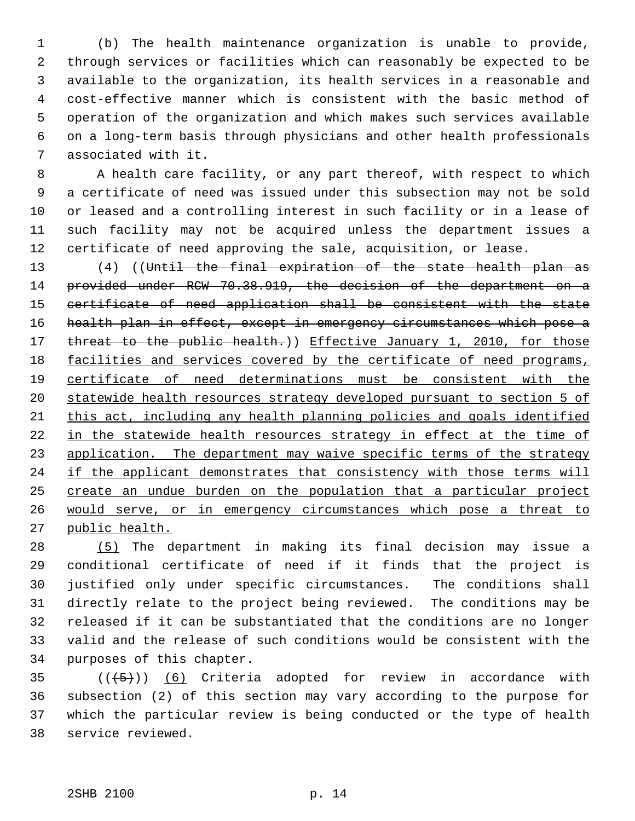(b) The health maintenance organization is unable to provide, through services or facilities which can reasonably be expected to be available to the organization, its health services in a reasonable and cost-effective manner which is consistent with the basic method of operation of the organization and which makes such services available on a long-term basis through physicians and other health professionals associated with it.

 A health care facility, or any part thereof, with respect to which a certificate of need was issued under this subsection may not be sold or leased and a controlling interest in such facility or in a lease of such facility may not be acquired unless the department issues a certificate of need approving the sale, acquisition, or lease.

 (4) ((Until the final expiration of the state health plan as provided under RCW 70.38.919, the decision of the department on a certificate of need application shall be consistent with the state 16 health plan in effect, except in emergency circumstances which pose a 17 threat to the public health.)) Effective January 1, 2010, for those 18 facilities and services covered by the certificate of need programs, certificate of need determinations must be consistent with the statewide health resources strategy developed pursuant to section 5 of this act, including any health planning policies and goals identified 22 in the statewide health resources strategy in effect at the time of 23 application. The department may waive specific terms of the strategy 24 if the applicant demonstrates that consistency with those terms will 25 create an undue burden on the population that a particular project would serve, or in emergency circumstances which pose a threat to public health.

 (5) The department in making its final decision may issue a conditional certificate of need if it finds that the project is justified only under specific circumstances. The conditions shall directly relate to the project being reviewed. The conditions may be released if it can be substantiated that the conditions are no longer valid and the release of such conditions would be consistent with the purposes of this chapter.

 $((+5))$   $(6)$  Criteria adopted for review in accordance with subsection (2) of this section may vary according to the purpose for which the particular review is being conducted or the type of health service reviewed.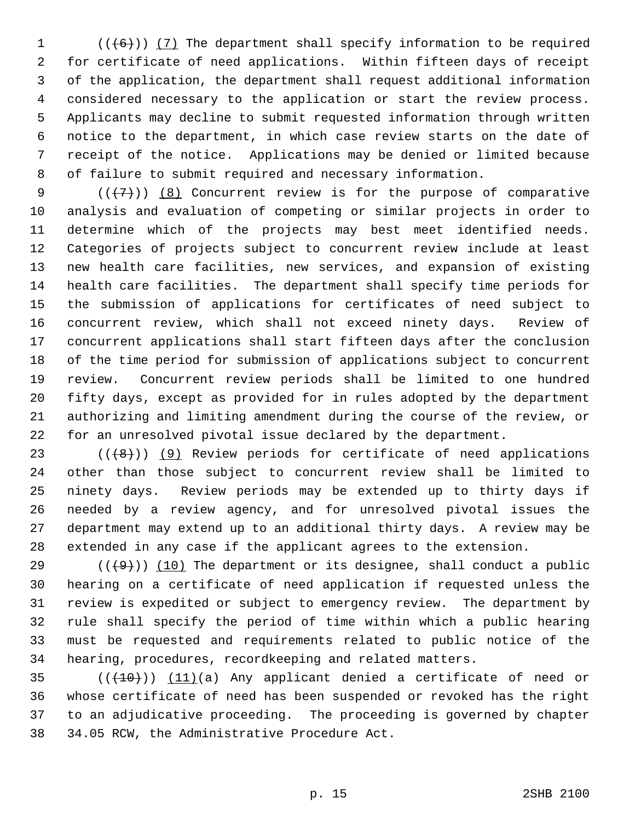$((+6))$   $(7)$  The department shall specify information to be required for certificate of need applications. Within fifteen days of receipt of the application, the department shall request additional information considered necessary to the application or start the review process. Applicants may decline to submit requested information through written notice to the department, in which case review starts on the date of receipt of the notice. Applications may be denied or limited because of failure to submit required and necessary information.

 $((+7))$   $(8)$  Concurrent review is for the purpose of comparative analysis and evaluation of competing or similar projects in order to determine which of the projects may best meet identified needs. Categories of projects subject to concurrent review include at least new health care facilities, new services, and expansion of existing health care facilities. The department shall specify time periods for the submission of applications for certificates of need subject to concurrent review, which shall not exceed ninety days. Review of concurrent applications shall start fifteen days after the conclusion of the time period for submission of applications subject to concurrent review. Concurrent review periods shall be limited to one hundred fifty days, except as provided for in rules adopted by the department authorizing and limiting amendment during the course of the review, or for an unresolved pivotal issue declared by the department.

 $((+8))$  (9) Review periods for certificate of need applications other than those subject to concurrent review shall be limited to ninety days. Review periods may be extended up to thirty days if needed by a review agency, and for unresolved pivotal issues the department may extend up to an additional thirty days. A review may be extended in any case if the applicant agrees to the extension.

29 ( $(\frac{49}{})$ ) (10) The department or its designee, shall conduct a public hearing on a certificate of need application if requested unless the review is expedited or subject to emergency review. The department by rule shall specify the period of time within which a public hearing must be requested and requirements related to public notice of the hearing, procedures, recordkeeping and related matters.

 $((+10))$   $(11)(a)$  Any applicant denied a certificate of need or whose certificate of need has been suspended or revoked has the right to an adjudicative proceeding. The proceeding is governed by chapter 34.05 RCW, the Administrative Procedure Act.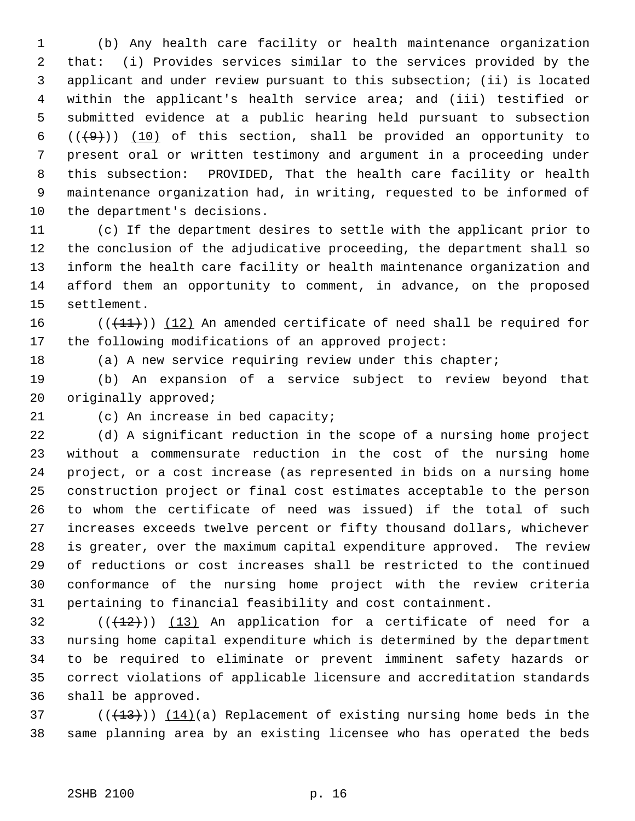(b) Any health care facility or health maintenance organization that: (i) Provides services similar to the services provided by the applicant and under review pursuant to this subsection; (ii) is located within the applicant's health service area; and (iii) testified or submitted evidence at a public hearing held pursuant to subsection  $((+9))$  (10) of this section, shall be provided an opportunity to present oral or written testimony and argument in a proceeding under this subsection: PROVIDED, That the health care facility or health maintenance organization had, in writing, requested to be informed of the department's decisions.

 (c) If the department desires to settle with the applicant prior to the conclusion of the adjudicative proceeding, the department shall so inform the health care facility or health maintenance organization and afford them an opportunity to comment, in advance, on the proposed settlement.

 $((+11))$  (12) An amended certificate of need shall be required for the following modifications of an approved project:

18 (a) A new service requiring review under this chapter;

 (b) An expansion of a service subject to review beyond that originally approved;

21 (c) An increase in bed capacity;

 (d) A significant reduction in the scope of a nursing home project without a commensurate reduction in the cost of the nursing home project, or a cost increase (as represented in bids on a nursing home construction project or final cost estimates acceptable to the person to whom the certificate of need was issued) if the total of such increases exceeds twelve percent or fifty thousand dollars, whichever is greater, over the maximum capital expenditure approved. The review of reductions or cost increases shall be restricted to the continued conformance of the nursing home project with the review criteria pertaining to financial feasibility and cost containment.

 $((+12))$  (13) An application for a certificate of need for a nursing home capital expenditure which is determined by the department to be required to eliminate or prevent imminent safety hazards or correct violations of applicable licensure and accreditation standards shall be approved.

37 ( $(\frac{13}{13})$ )  $(14)(a)$  Replacement of existing nursing home beds in the same planning area by an existing licensee who has operated the beds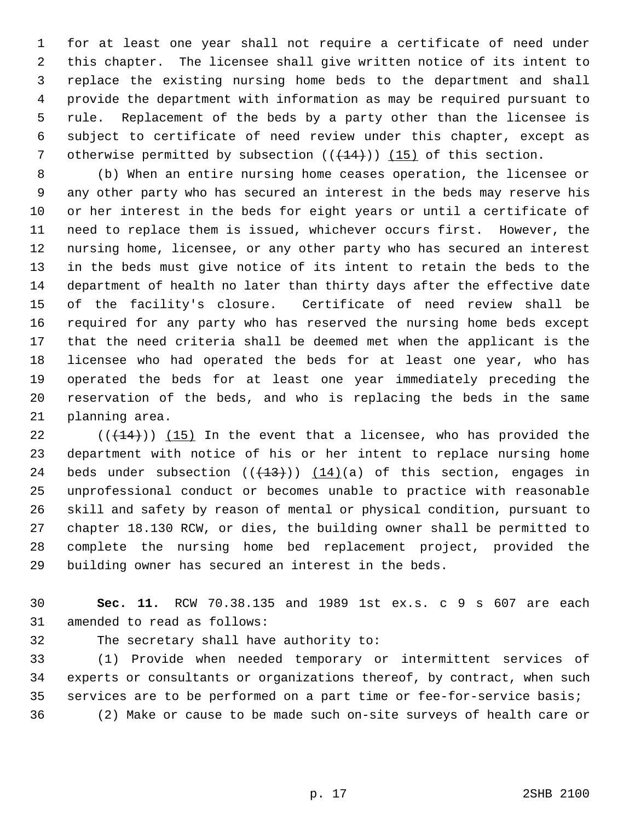for at least one year shall not require a certificate of need under this chapter. The licensee shall give written notice of its intent to replace the existing nursing home beds to the department and shall provide the department with information as may be required pursuant to rule. Replacement of the beds by a party other than the licensee is subject to certificate of need review under this chapter, except as 7 otherwise permitted by subsection  $((+14))$  (15) of this section.

 (b) When an entire nursing home ceases operation, the licensee or any other party who has secured an interest in the beds may reserve his or her interest in the beds for eight years or until a certificate of need to replace them is issued, whichever occurs first. However, the nursing home, licensee, or any other party who has secured an interest in the beds must give notice of its intent to retain the beds to the department of health no later than thirty days after the effective date of the facility's closure. Certificate of need review shall be required for any party who has reserved the nursing home beds except that the need criteria shall be deemed met when the applicant is the licensee who had operated the beds for at least one year, who has operated the beds for at least one year immediately preceding the reservation of the beds, and who is replacing the beds in the same planning area.

 $((+14))$   $(15)$  In the event that a licensee, who has provided the department with notice of his or her intent to replace nursing home 24 beds under subsection  $((+13))$   $(14)(a)$  of this section, engages in unprofessional conduct or becomes unable to practice with reasonable skill and safety by reason of mental or physical condition, pursuant to chapter 18.130 RCW, or dies, the building owner shall be permitted to complete the nursing home bed replacement project, provided the building owner has secured an interest in the beds.

 **Sec. 11.** RCW 70.38.135 and 1989 1st ex.s. c 9 s 607 are each amended to read as follows:

The secretary shall have authority to:

 (1) Provide when needed temporary or intermittent services of experts or consultants or organizations thereof, by contract, when such services are to be performed on a part time or fee-for-service basis; (2) Make or cause to be made such on-site surveys of health care or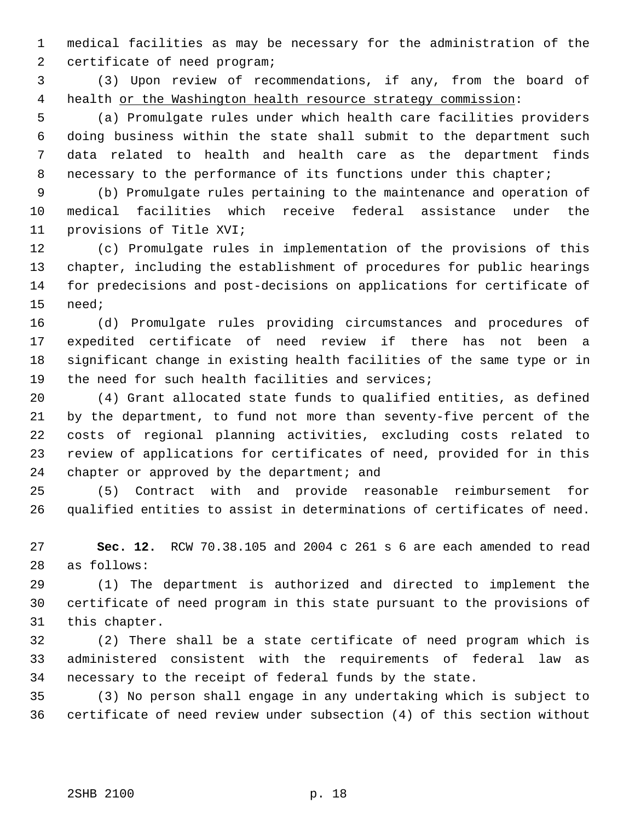medical facilities as may be necessary for the administration of the certificate of need program;

 (3) Upon review of recommendations, if any, from the board of 4 health or the Washington health resource strategy commission:

 (a) Promulgate rules under which health care facilities providers doing business within the state shall submit to the department such data related to health and health care as the department finds 8 necessary to the performance of its functions under this chapter;

 (b) Promulgate rules pertaining to the maintenance and operation of medical facilities which receive federal assistance under the provisions of Title XVI;

 (c) Promulgate rules in implementation of the provisions of this chapter, including the establishment of procedures for public hearings for predecisions and post-decisions on applications for certificate of need;

 (d) Promulgate rules providing circumstances and procedures of expedited certificate of need review if there has not been a significant change in existing health facilities of the same type or in the need for such health facilities and services;

 (4) Grant allocated state funds to qualified entities, as defined by the department, to fund not more than seventy-five percent of the costs of regional planning activities, excluding costs related to review of applications for certificates of need, provided for in this 24 chapter or approved by the department; and

 (5) Contract with and provide reasonable reimbursement for qualified entities to assist in determinations of certificates of need.

 **Sec. 12.** RCW 70.38.105 and 2004 c 261 s 6 are each amended to read as follows:

 (1) The department is authorized and directed to implement the certificate of need program in this state pursuant to the provisions of this chapter.

 (2) There shall be a state certificate of need program which is administered consistent with the requirements of federal law as necessary to the receipt of federal funds by the state.

 (3) No person shall engage in any undertaking which is subject to certificate of need review under subsection (4) of this section without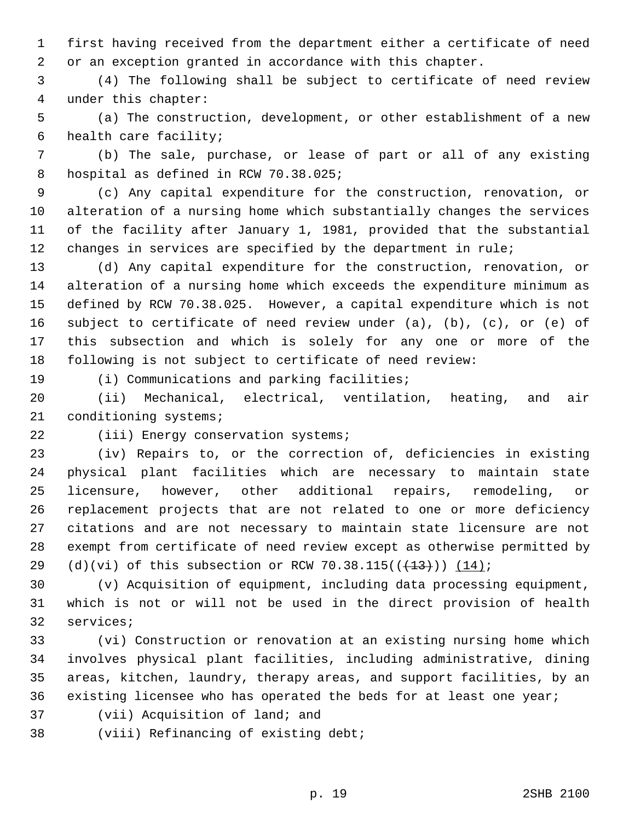first having received from the department either a certificate of need or an exception granted in accordance with this chapter.

 (4) The following shall be subject to certificate of need review under this chapter:

 (a) The construction, development, or other establishment of a new health care facility;

 (b) The sale, purchase, or lease of part or all of any existing hospital as defined in RCW 70.38.025;

 (c) Any capital expenditure for the construction, renovation, or alteration of a nursing home which substantially changes the services of the facility after January 1, 1981, provided that the substantial changes in services are specified by the department in rule;

 (d) Any capital expenditure for the construction, renovation, or alteration of a nursing home which exceeds the expenditure minimum as defined by RCW 70.38.025. However, a capital expenditure which is not subject to certificate of need review under (a), (b), (c), or (e) of this subsection and which is solely for any one or more of the following is not subject to certificate of need review:

(i) Communications and parking facilities;

 (ii) Mechanical, electrical, ventilation, heating, and air conditioning systems;

## 22 (iii) Energy conservation systems;

 (iv) Repairs to, or the correction of, deficiencies in existing physical plant facilities which are necessary to maintain state licensure, however, other additional repairs, remodeling, or replacement projects that are not related to one or more deficiency citations and are not necessary to maintain state licensure are not exempt from certificate of need review except as otherwise permitted by 29 (d)(vi) of this subsection or RCW 70.38.115( $(\frac{13}{13})$ ) (14);

 (v) Acquisition of equipment, including data processing equipment, which is not or will not be used in the direct provision of health services;

 (vi) Construction or renovation at an existing nursing home which involves physical plant facilities, including administrative, dining areas, kitchen, laundry, therapy areas, and support facilities, by an existing licensee who has operated the beds for at least one year;

- (vii) Acquisition of land; and
- (viii) Refinancing of existing debt;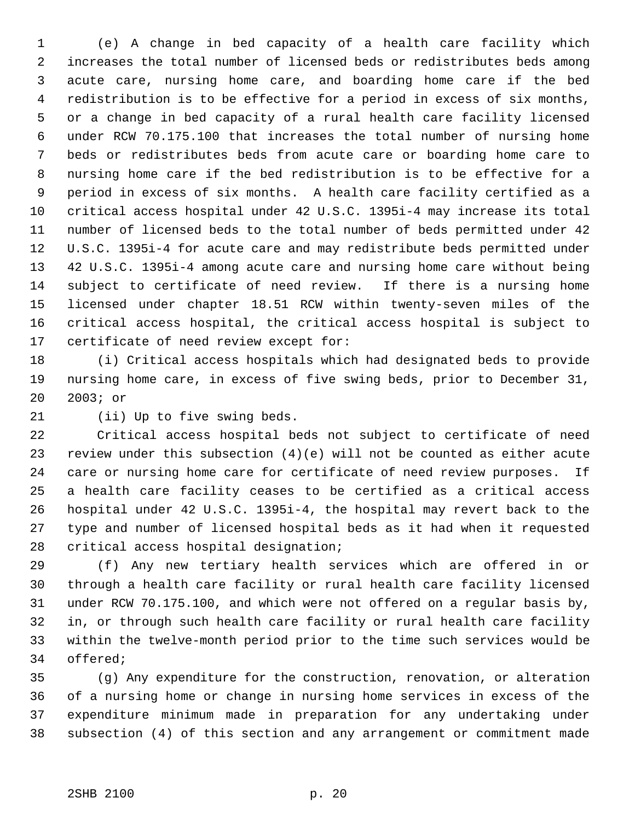(e) A change in bed capacity of a health care facility which increases the total number of licensed beds or redistributes beds among acute care, nursing home care, and boarding home care if the bed redistribution is to be effective for a period in excess of six months, or a change in bed capacity of a rural health care facility licensed under RCW 70.175.100 that increases the total number of nursing home beds or redistributes beds from acute care or boarding home care to nursing home care if the bed redistribution is to be effective for a period in excess of six months. A health care facility certified as a critical access hospital under 42 U.S.C. 1395i-4 may increase its total number of licensed beds to the total number of beds permitted under 42 U.S.C. 1395i-4 for acute care and may redistribute beds permitted under 42 U.S.C. 1395i-4 among acute care and nursing home care without being subject to certificate of need review. If there is a nursing home licensed under chapter 18.51 RCW within twenty-seven miles of the critical access hospital, the critical access hospital is subject to certificate of need review except for:

 (i) Critical access hospitals which had designated beds to provide nursing home care, in excess of five swing beds, prior to December 31, 2003; or

(ii) Up to five swing beds.

Critical access hospital beds not subject to certificate of need

 review under this subsection (4)(e) will not be counted as either acute care or nursing home care for certificate of need review purposes. If a health care facility ceases to be certified as a critical access hospital under 42 U.S.C. 1395i-4, the hospital may revert back to the type and number of licensed hospital beds as it had when it requested critical access hospital designation;

 (f) Any new tertiary health services which are offered in or through a health care facility or rural health care facility licensed under RCW 70.175.100, and which were not offered on a regular basis by, in, or through such health care facility or rural health care facility within the twelve-month period prior to the time such services would be offered;

 (g) Any expenditure for the construction, renovation, or alteration of a nursing home or change in nursing home services in excess of the expenditure minimum made in preparation for any undertaking under subsection (4) of this section and any arrangement or commitment made